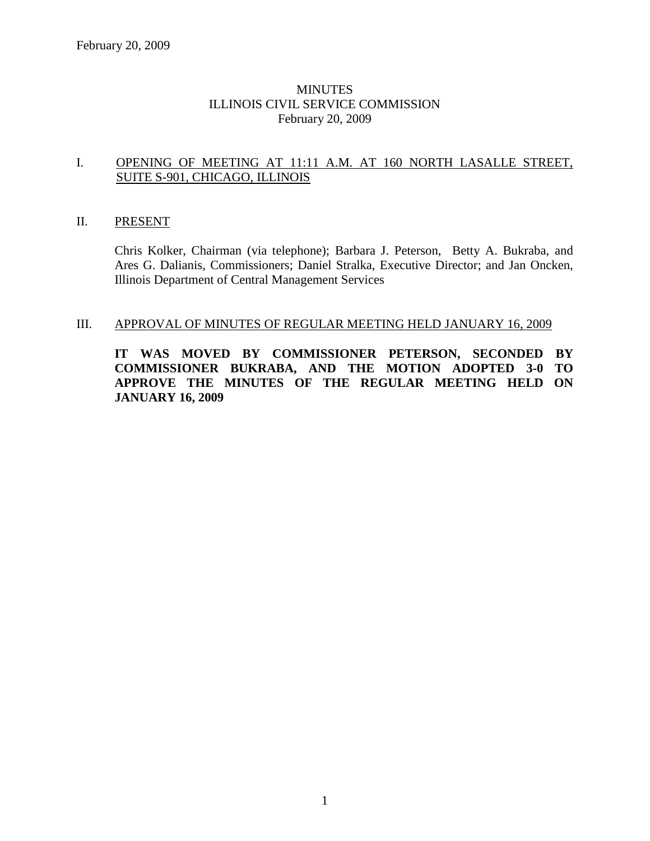# MINUTES ILLINOIS CIVIL SERVICE COMMISSION February 20, 2009

#### I. OPENING OF MEETING AT 11:11 A.M. AT 160 NORTH LASALLE STREET, SUITE S-901, CHICAGO, ILLINOIS

# II. PRESENT

Chris Kolker, Chairman (via telephone); Barbara J. Peterson, Betty A. Bukraba, and Ares G. Dalianis, Commissioners; Daniel Stralka, Executive Director; and Jan Oncken, Illinois Department of Central Management Services

#### III. APPROVAL OF MINUTES OF REGULAR MEETING HELD JANUARY 16, 2009

**IT WAS MOVED BY COMMISSIONER PETERSON, SECONDED BY COMMISSIONER BUKRABA, AND THE MOTION ADOPTED 3-0 TO APPROVE THE MINUTES OF THE REGULAR MEETING HELD ON JANUARY 16, 2009**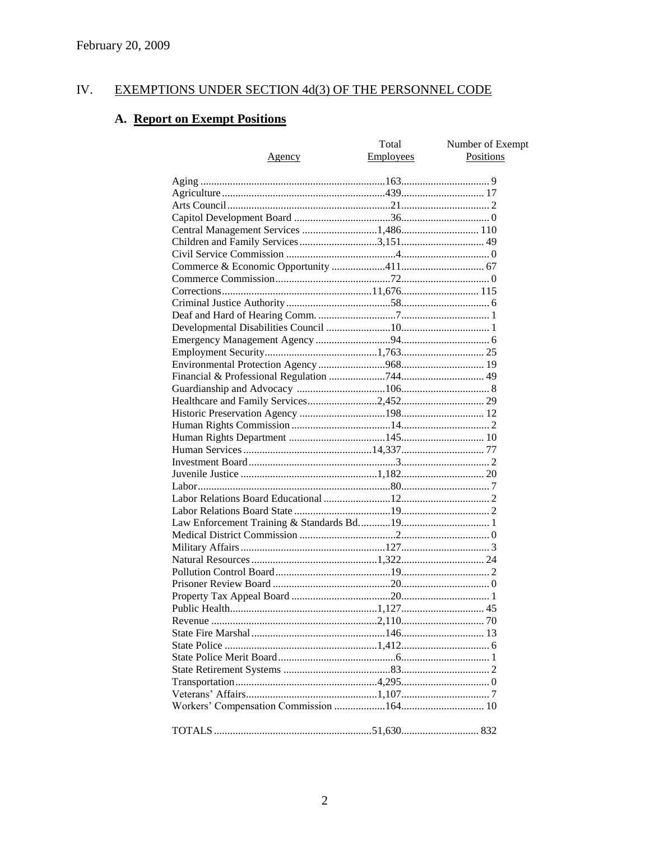#### IV. EXEMPTIONS UNDER SECTION 4d(3) OF THE PERSONNEL CODE

# A. Report on Exempt Positions

| <u>Agency</u>                         | Total<br><b>Employees</b> | Number of Exempt<br>Positions |
|---------------------------------------|---------------------------|-------------------------------|
|                                       |                           |                               |
|                                       |                           |                               |
|                                       |                           |                               |
|                                       |                           |                               |
| Central Management Services 1,486 110 |                           |                               |
|                                       |                           |                               |
|                                       |                           |                               |
|                                       |                           |                               |
|                                       |                           |                               |
|                                       |                           |                               |
|                                       |                           |                               |
|                                       |                           |                               |
|                                       |                           |                               |
|                                       |                           |                               |
|                                       |                           |                               |
|                                       |                           |                               |
|                                       |                           |                               |
|                                       |                           |                               |
|                                       |                           |                               |
|                                       |                           |                               |
|                                       |                           |                               |
|                                       |                           |                               |
|                                       |                           |                               |
|                                       |                           |                               |
|                                       |                           |                               |
|                                       |                           |                               |
|                                       |                           |                               |
|                                       |                           |                               |
|                                       |                           |                               |
|                                       |                           |                               |
|                                       |                           |                               |
|                                       |                           |                               |
|                                       |                           |                               |
|                                       |                           |                               |
|                                       |                           |                               |
|                                       |                           |                               |
|                                       |                           |                               |
|                                       |                           |                               |
|                                       |                           |                               |
|                                       |                           |                               |
|                                       |                           |                               |
|                                       |                           |                               |
|                                       |                           |                               |
|                                       |                           |                               |
|                                       |                           |                               |
|                                       |                           |                               |
|                                       |                           |                               |
|                                       |                           |                               |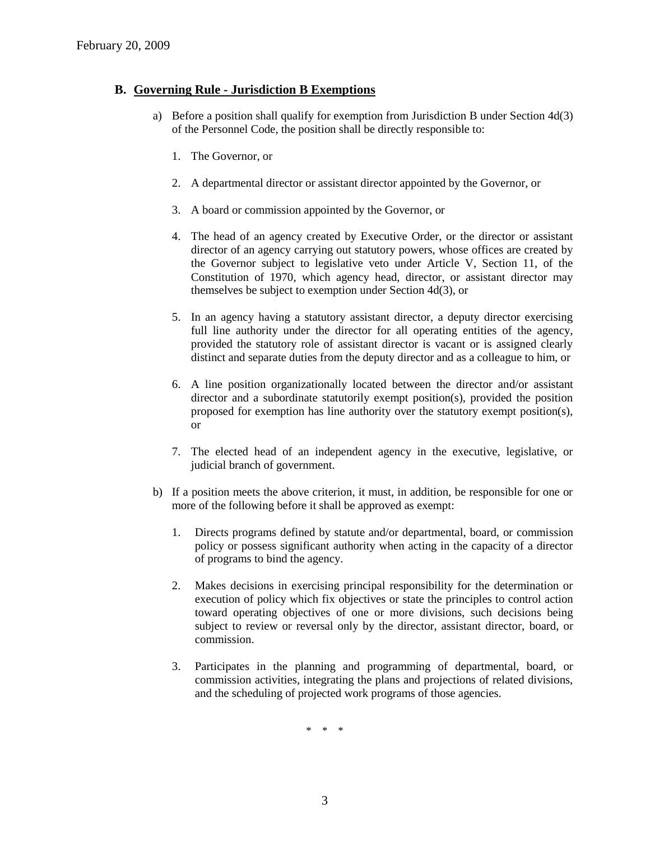# **B. Governing Rule - Jurisdiction B Exemptions**

- a) Before a position shall qualify for exemption from Jurisdiction B under Section 4d(3) of the Personnel Code, the position shall be directly responsible to:
	- 1. The Governor, or
	- 2. A departmental director or assistant director appointed by the Governor, or
	- 3. A board or commission appointed by the Governor, or
	- 4. The head of an agency created by Executive Order, or the director or assistant director of an agency carrying out statutory powers, whose offices are created by the Governor subject to legislative veto under Article V, Section 11, of the Constitution of 1970, which agency head, director, or assistant director may themselves be subject to exemption under Section 4d(3), or
	- 5. In an agency having a statutory assistant director, a deputy director exercising full line authority under the director for all operating entities of the agency, provided the statutory role of assistant director is vacant or is assigned clearly distinct and separate duties from the deputy director and as a colleague to him, or
	- 6. A line position organizationally located between the director and/or assistant director and a subordinate statutorily exempt position(s), provided the position proposed for exemption has line authority over the statutory exempt position(s), or
	- 7. The elected head of an independent agency in the executive, legislative, or judicial branch of government.
- b) If a position meets the above criterion, it must, in addition, be responsible for one or more of the following before it shall be approved as exempt:
	- 1. Directs programs defined by statute and/or departmental, board, or commission policy or possess significant authority when acting in the capacity of a director of programs to bind the agency.
	- 2. Makes decisions in exercising principal responsibility for the determination or execution of policy which fix objectives or state the principles to control action toward operating objectives of one or more divisions, such decisions being subject to review or reversal only by the director, assistant director, board, or commission.
	- 3. Participates in the planning and programming of departmental, board, or commission activities, integrating the plans and projections of related divisions, and the scheduling of projected work programs of those agencies.

\* \* \*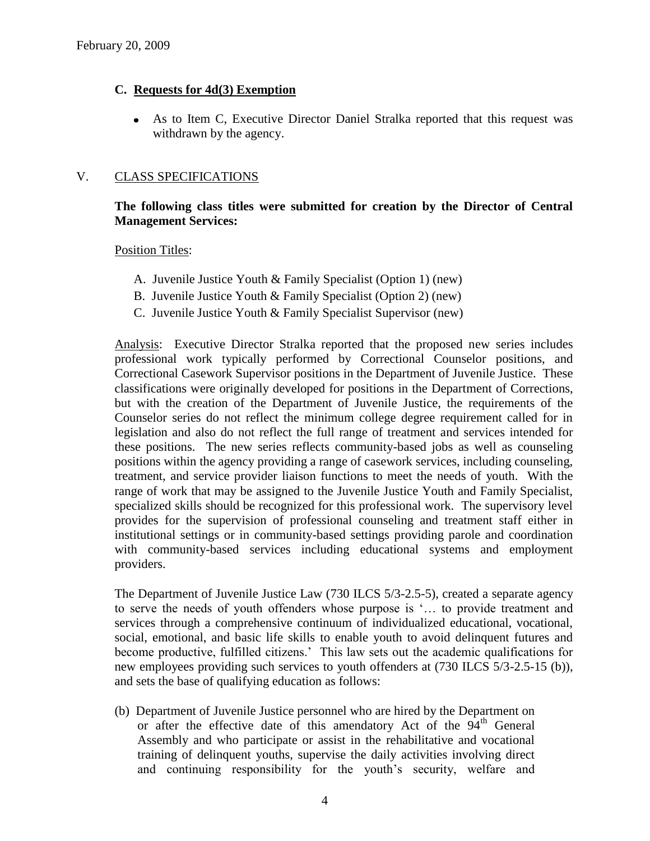# **C. Requests for 4d(3) Exemption**

As to Item C, Executive Director Daniel Stralka reported that this request was withdrawn by the agency.

# V. CLASS SPECIFICATIONS

# **The following class titles were submitted for creation by the Director of Central Management Services:**

Position Titles:

- A. Juvenile Justice Youth & Family Specialist (Option 1) (new)
- B. Juvenile Justice Youth & Family Specialist (Option 2) (new)
- C. Juvenile Justice Youth & Family Specialist Supervisor (new)

Analysis: Executive Director Stralka reported that the proposed new series includes professional work typically performed by Correctional Counselor positions, and Correctional Casework Supervisor positions in the Department of Juvenile Justice. These classifications were originally developed for positions in the Department of Corrections, but with the creation of the Department of Juvenile Justice, the requirements of the Counselor series do not reflect the minimum college degree requirement called for in legislation and also do not reflect the full range of treatment and services intended for these positions. The new series reflects community-based jobs as well as counseling positions within the agency providing a range of casework services, including counseling, treatment, and service provider liaison functions to meet the needs of youth. With the range of work that may be assigned to the Juvenile Justice Youth and Family Specialist, specialized skills should be recognized for this professional work. The supervisory level provides for the supervision of professional counseling and treatment staff either in institutional settings or in community-based settings providing parole and coordination with community-based services including educational systems and employment providers.

The Department of Juvenile Justice Law (730 ILCS 5/3-2.5-5), created a separate agency to serve the needs of youth offenders whose purpose is '… to provide treatment and services through a comprehensive continuum of individualized educational, vocational, social, emotional, and basic life skills to enable youth to avoid delinquent futures and become productive, fulfilled citizens.' This law sets out the academic qualifications for new employees providing such services to youth offenders at (730 ILCS 5/3-2.5-15 (b)), and sets the base of qualifying education as follows:

(b) Department of Juvenile Justice personnel who are hired by the Department on or after the effective date of this amendatory Act of the  $94<sup>th</sup>$  General Assembly and who participate or assist in the rehabilitative and vocational training of delinquent youths, supervise the daily activities involving direct and continuing responsibility for the youth's security, welfare and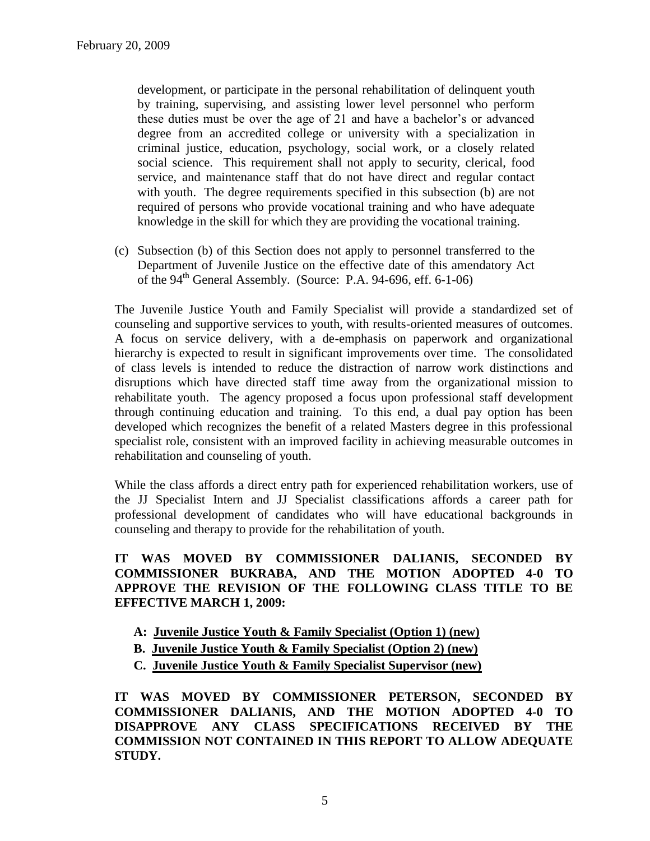development, or participate in the personal rehabilitation of delinquent youth by training, supervising, and assisting lower level personnel who perform these duties must be over the age of 21 and have a bachelor's or advanced degree from an accredited college or university with a specialization in criminal justice, education, psychology, social work, or a closely related social science. This requirement shall not apply to security, clerical, food service, and maintenance staff that do not have direct and regular contact with youth. The degree requirements specified in this subsection (b) are not required of persons who provide vocational training and who have adequate knowledge in the skill for which they are providing the vocational training.

(c) Subsection (b) of this Section does not apply to personnel transferred to the Department of Juvenile Justice on the effective date of this amendatory Act of the  $94<sup>th</sup>$  General Assembly. (Source: P.A. 94-696, eff. 6-1-06)

The Juvenile Justice Youth and Family Specialist will provide a standardized set of counseling and supportive services to youth, with results-oriented measures of outcomes. A focus on service delivery, with a de-emphasis on paperwork and organizational hierarchy is expected to result in significant improvements over time. The consolidated of class levels is intended to reduce the distraction of narrow work distinctions and disruptions which have directed staff time away from the organizational mission to rehabilitate youth. The agency proposed a focus upon professional staff development through continuing education and training. To this end, a dual pay option has been developed which recognizes the benefit of a related Masters degree in this professional specialist role, consistent with an improved facility in achieving measurable outcomes in rehabilitation and counseling of youth.

While the class affords a direct entry path for experienced rehabilitation workers, use of the JJ Specialist Intern and JJ Specialist classifications affords a career path for professional development of candidates who will have educational backgrounds in counseling and therapy to provide for the rehabilitation of youth.

**IT WAS MOVED BY COMMISSIONER DALIANIS, SECONDED BY COMMISSIONER BUKRABA, AND THE MOTION ADOPTED 4-0 TO APPROVE THE REVISION OF THE FOLLOWING CLASS TITLE TO BE EFFECTIVE MARCH 1, 2009:**

- **A: Juvenile Justice Youth & Family Specialist (Option 1) (new)**
- **B. Juvenile Justice Youth & Family Specialist (Option 2) (new)**
- **C. Juvenile Justice Youth & Family Specialist Supervisor (new)**

**IT WAS MOVED BY COMMISSIONER PETERSON, SECONDED BY COMMISSIONER DALIANIS, AND THE MOTION ADOPTED 4-0 TO DISAPPROVE ANY CLASS SPECIFICATIONS RECEIVED BY THE COMMISSION NOT CONTAINED IN THIS REPORT TO ALLOW ADEQUATE STUDY.**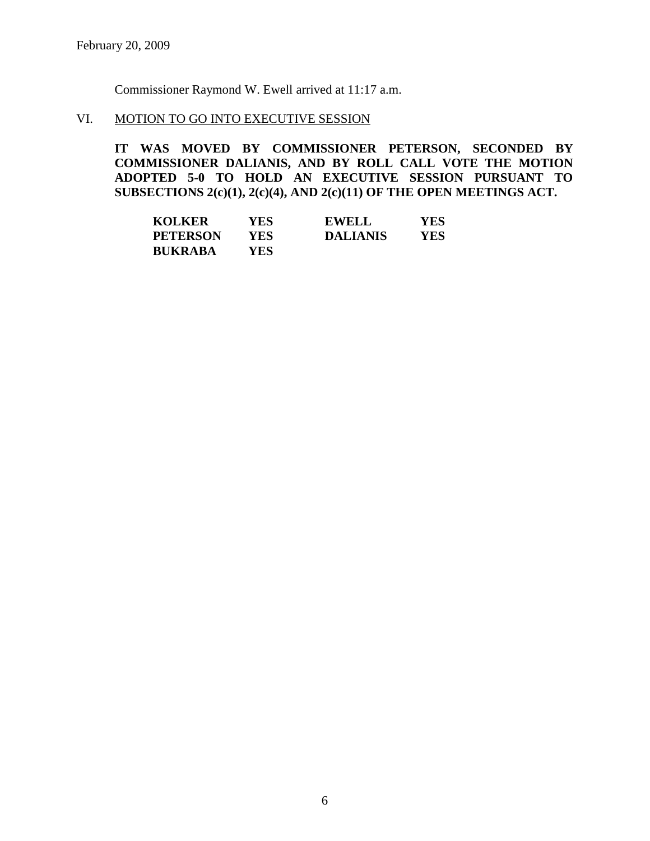Commissioner Raymond W. Ewell arrived at 11:17 a.m.

# VI. MOTION TO GO INTO EXECUTIVE SESSION

**IT WAS MOVED BY COMMISSIONER PETERSON, SECONDED BY COMMISSIONER DALIANIS, AND BY ROLL CALL VOTE THE MOTION ADOPTED 5-0 TO HOLD AN EXECUTIVE SESSION PURSUANT TO SUBSECTIONS 2(c)(1), 2(c)(4), AND 2(c)(11) OF THE OPEN MEETINGS ACT.** 

| <b>KOLKER</b>   | YES  | <b>EWELL</b>    | YES |
|-----------------|------|-----------------|-----|
| <b>PETERSON</b> | YES. | <b>DALIANIS</b> | YES |
| <b>BUKRABA</b>  | YES. |                 |     |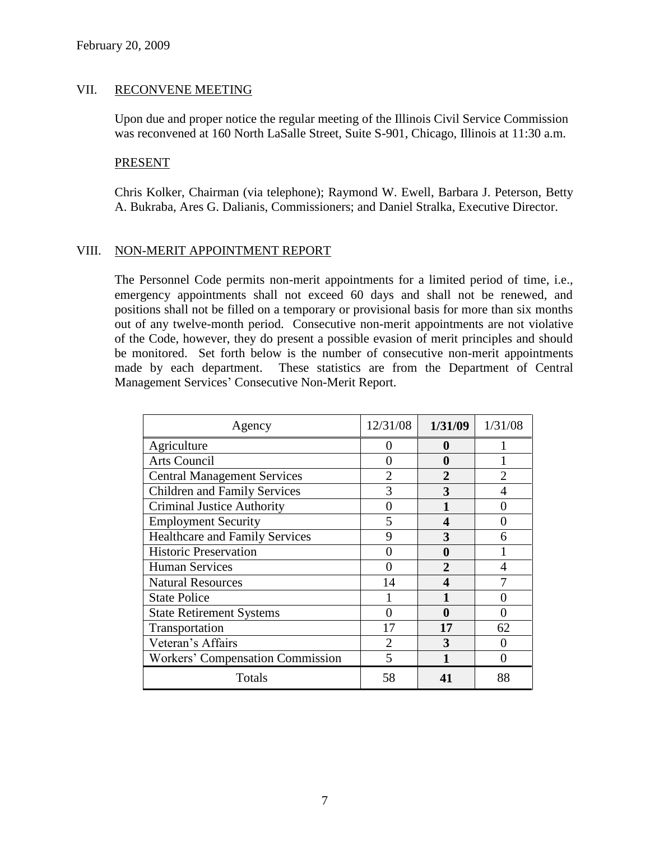# VII. RECONVENE MEETING

Upon due and proper notice the regular meeting of the Illinois Civil Service Commission was reconvened at 160 North LaSalle Street, Suite S-901, Chicago, Illinois at 11:30 a.m.

#### PRESENT

Chris Kolker, Chairman (via telephone); Raymond W. Ewell, Barbara J. Peterson, Betty A. Bukraba, Ares G. Dalianis, Commissioners; and Daniel Stralka, Executive Director.

# VIII. NON-MERIT APPOINTMENT REPORT

The Personnel Code permits non-merit appointments for a limited period of time, i.e., emergency appointments shall not exceed 60 days and shall not be renewed, and positions shall not be filled on a temporary or provisional basis for more than six months out of any twelve-month period. Consecutive non-merit appointments are not violative of the Code, however, they do present a possible evasion of merit principles and should be monitored. Set forth below is the number of consecutive non-merit appointments made by each department. These statistics are from the Department of Central Management Services' Consecutive Non-Merit Report.

| Agency                                  | 12/31/08                    | 1/31/09        | 1/31/08        |
|-----------------------------------------|-----------------------------|----------------|----------------|
| Agriculture                             | 0                           | $\mathbf 0$    |                |
| Arts Council                            |                             | 0              |                |
| <b>Central Management Services</b>      | $\mathfrak{D}$              | $\overline{2}$ | $\overline{2}$ |
| <b>Children and Family Services</b>     | 3                           | 3              |                |
| <b>Criminal Justice Authority</b>       |                             |                |                |
| <b>Employment Security</b>              | 5                           | 4              |                |
| <b>Healthcare and Family Services</b>   | 9                           | 3              | 6              |
| <b>Historic Preservation</b>            |                             | 0              |                |
| <b>Human Services</b>                   |                             | $\mathfrak{D}$ | 4              |
| <b>Natural Resources</b>                | 14                          | 4              |                |
| <b>State Police</b>                     |                             |                |                |
| <b>State Retirement Systems</b>         | 0                           | 0              |                |
| Transportation                          | 17                          | 17             | 62             |
| Veteran's Affairs                       | $\mathcal{D}_{\mathcal{L}}$ | 3              |                |
| <b>Workers' Compensation Commission</b> | 5                           |                | 0              |
| Totals                                  | 58                          | 41             | 88             |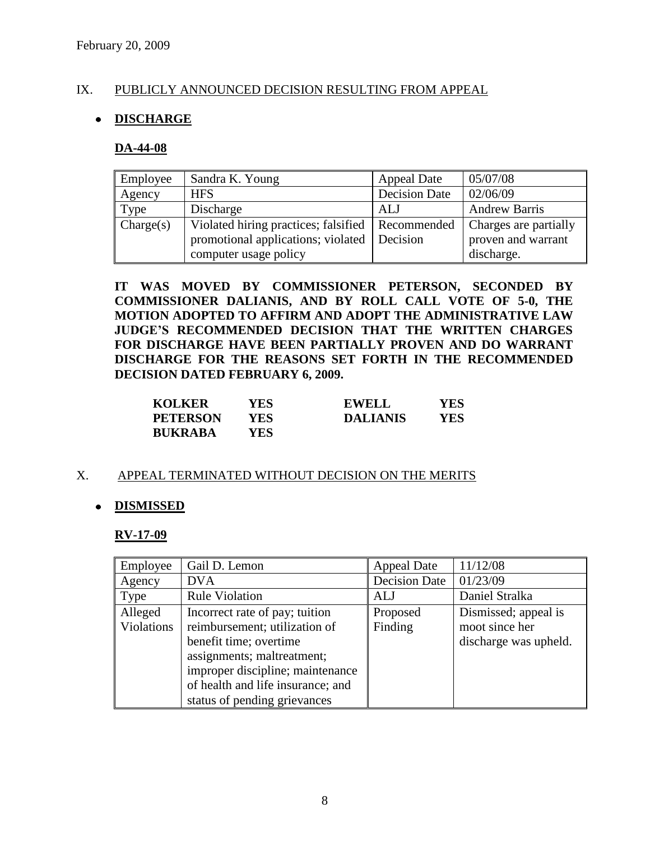# IX. PUBLICLY ANNOUNCED DECISION RESULTING FROM APPEAL

# **DISCHARGE**

#### **DA-44-08**

| Employee  | Sandra K. Young                                    | <b>Appeal Date</b>   | 05/07/08              |
|-----------|----------------------------------------------------|----------------------|-----------------------|
| Agency    | <b>HFS</b>                                         | <b>Decision Date</b> | 02/06/09              |
| Type      | Discharge                                          | ALJ                  | <b>Andrew Barris</b>  |
| Change(s) | Violated hiring practices; falsified   Recommended |                      | Charges are partially |
|           | promotional applications; violated                 | Decision             | proven and warrant    |
|           | computer usage policy                              |                      | discharge.            |

**IT WAS MOVED BY COMMISSIONER PETERSON, SECONDED BY COMMISSIONER DALIANIS, AND BY ROLL CALL VOTE OF 5-0, THE MOTION ADOPTED TO AFFIRM AND ADOPT THE ADMINISTRATIVE LAW JUDGE'S RECOMMENDED DECISION THAT THE WRITTEN CHARGES FOR DISCHARGE HAVE BEEN PARTIALLY PROVEN AND DO WARRANT DISCHARGE FOR THE REASONS SET FORTH IN THE RECOMMENDED DECISION DATED FEBRUARY 6, 2009.**

| <b>KOLKER</b>   | YES  | <b>EWELL</b>    | YES |
|-----------------|------|-----------------|-----|
| <b>PETERSON</b> | YES. | <b>DALIANIS</b> | YES |
| <b>BUKRABA</b>  | YES  |                 |     |

#### X. APPEAL TERMINATED WITHOUT DECISION ON THE MERITS

#### **DISMISSED**

#### **RV-17-09**

| Employee   | Gail D. Lemon                     | <b>Appeal Date</b> | 11/12/08              |
|------------|-----------------------------------|--------------------|-----------------------|
| Agency     | <b>DVA</b>                        | Decision Date      | 01/23/09              |
| Type       | <b>Rule Violation</b>             | ALJ                | Daniel Stralka        |
| Alleged    | Incorrect rate of pay; tuition    | Proposed           | Dismissed; appeal is  |
| Violations | reimbursement; utilization of     | Finding            | moot since her        |
|            | benefit time; overtime            |                    | discharge was upheld. |
|            | assignments; maltreatment;        |                    |                       |
|            | improper discipline; maintenance  |                    |                       |
|            | of health and life insurance; and |                    |                       |
|            | status of pending grievances      |                    |                       |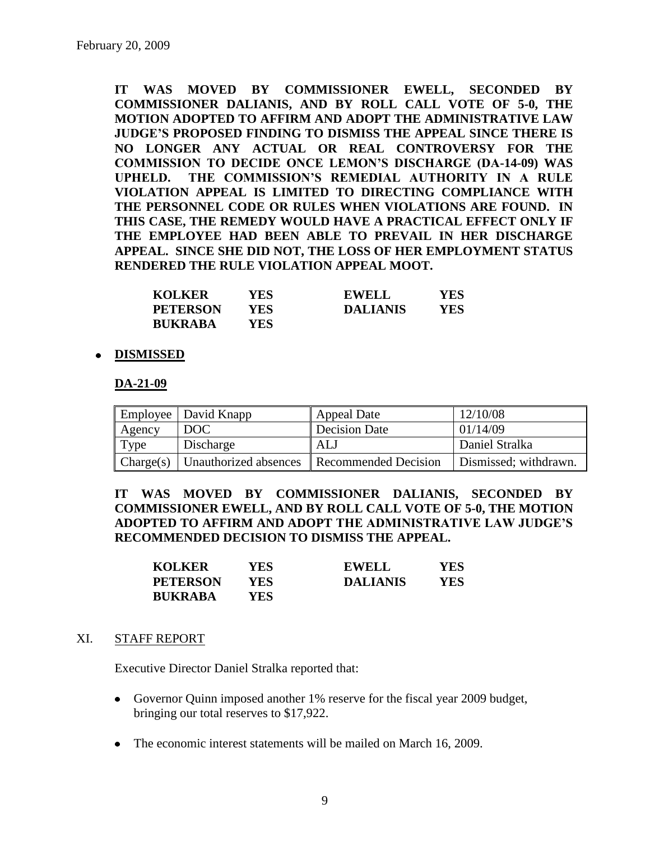**IT WAS MOVED BY COMMISSIONER EWELL, SECONDED BY COMMISSIONER DALIANIS, AND BY ROLL CALL VOTE OF 5-0, THE MOTION ADOPTED TO AFFIRM AND ADOPT THE ADMINISTRATIVE LAW JUDGE'S PROPOSED FINDING TO DISMISS THE APPEAL SINCE THERE IS NO LONGER ANY ACTUAL OR REAL CONTROVERSY FOR THE COMMISSION TO DECIDE ONCE LEMON'S DISCHARGE (DA-14-09) WAS UPHELD. THE COMMISSION'S REMEDIAL AUTHORITY IN A RULE VIOLATION APPEAL IS LIMITED TO DIRECTING COMPLIANCE WITH THE PERSONNEL CODE OR RULES WHEN VIOLATIONS ARE FOUND. IN THIS CASE, THE REMEDY WOULD HAVE A PRACTICAL EFFECT ONLY IF THE EMPLOYEE HAD BEEN ABLE TO PREVAIL IN HER DISCHARGE APPEAL. SINCE SHE DID NOT, THE LOSS OF HER EMPLOYMENT STATUS RENDERED THE RULE VIOLATION APPEAL MOOT.** 

| <b>KOLKER</b>   | YES  | <b>EWELL</b>    | YES |
|-----------------|------|-----------------|-----|
| <b>PETERSON</b> | YES  | <b>DALIANIS</b> | YES |
| <b>BUKRABA</b>  | YES. |                 |     |

# **DISMISSED**

#### **DA-21-09**

|        | Employee   David Knapp | Appeal Date                                                                  | 12/10/08              |
|--------|------------------------|------------------------------------------------------------------------------|-----------------------|
| Agency | DOC                    | Decision Date                                                                | 01/14/09              |
| Type   | Discharge              | ALJ                                                                          | Daniel Stralka        |
|        |                        | $\vert$ Charge(s) $\vert$ Unauthorized absences $\vert$ Recommended Decision | Dismissed; withdrawn. |

**IT WAS MOVED BY COMMISSIONER DALIANIS, SECONDED BY COMMISSIONER EWELL, AND BY ROLL CALL VOTE OF 5-0, THE MOTION ADOPTED TO AFFIRM AND ADOPT THE ADMINISTRATIVE LAW JUDGE'S RECOMMENDED DECISION TO DISMISS THE APPEAL.**

| <b>KOLKER</b>   | <b>YES</b> | <b>EWELL</b>    | YES |
|-----------------|------------|-----------------|-----|
| <b>PETERSON</b> | YES.       | <b>DALIANIS</b> | YES |
| <b>BUKRABA</b>  | <b>YES</b> |                 |     |

#### XI. STAFF REPORT

Executive Director Daniel Stralka reported that:

- Governor Quinn imposed another 1% reserve for the fiscal year 2009 budget, bringing our total reserves to \$17,922.
- The economic interest statements will be mailed on March 16, 2009.